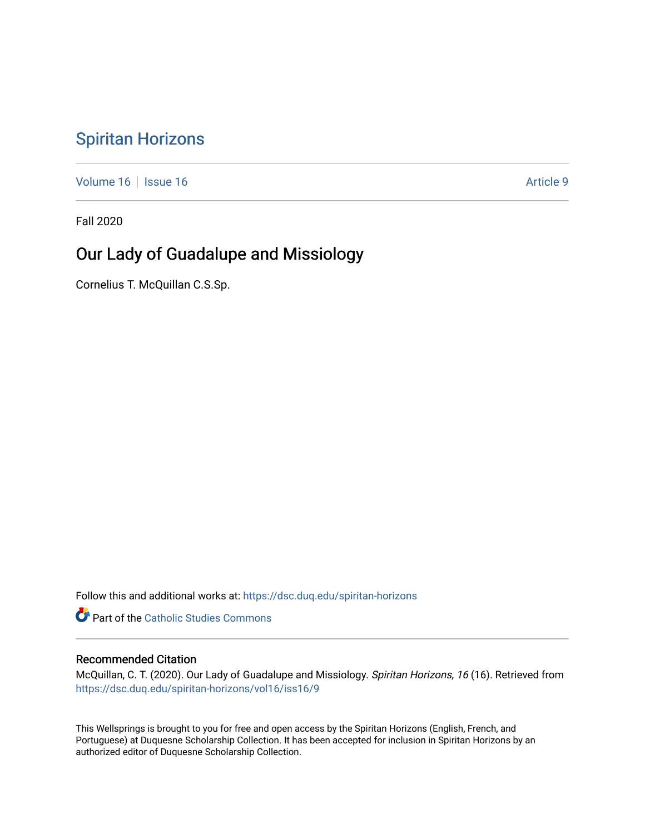# [Spiritan Horizons](https://dsc.duq.edu/spiritan-horizons)

[Volume 16](https://dsc.duq.edu/spiritan-horizons/vol16) | [Issue 16](https://dsc.duq.edu/spiritan-horizons/vol16/iss16) |  $\blacksquare$ 

Fall 2020

# Our Lady of Guadalupe and Missiology

Cornelius T. McQuillan C.S.Sp.

Follow this and additional works at: [https://dsc.duq.edu/spiritan-horizons](https://dsc.duq.edu/spiritan-horizons?utm_source=dsc.duq.edu%2Fspiritan-horizons%2Fvol16%2Fiss16%2F9&utm_medium=PDF&utm_campaign=PDFCoverPages)

**Part of the [Catholic Studies Commons](http://network.bepress.com/hgg/discipline/1294?utm_source=dsc.duq.edu%2Fspiritan-horizons%2Fvol16%2Fiss16%2F9&utm_medium=PDF&utm_campaign=PDFCoverPages)** 

### Recommended Citation

McQuillan, C. T. (2020). Our Lady of Guadalupe and Missiology. Spiritan Horizons, 16 (16). Retrieved from [https://dsc.duq.edu/spiritan-horizons/vol16/iss16/9](https://dsc.duq.edu/spiritan-horizons/vol16/iss16/9?utm_source=dsc.duq.edu%2Fspiritan-horizons%2Fvol16%2Fiss16%2F9&utm_medium=PDF&utm_campaign=PDFCoverPages)

This Wellsprings is brought to you for free and open access by the Spiritan Horizons (English, French, and Portuguese) at Duquesne Scholarship Collection. It has been accepted for inclusion in Spiritan Horizons by an authorized editor of Duquesne Scholarship Collection.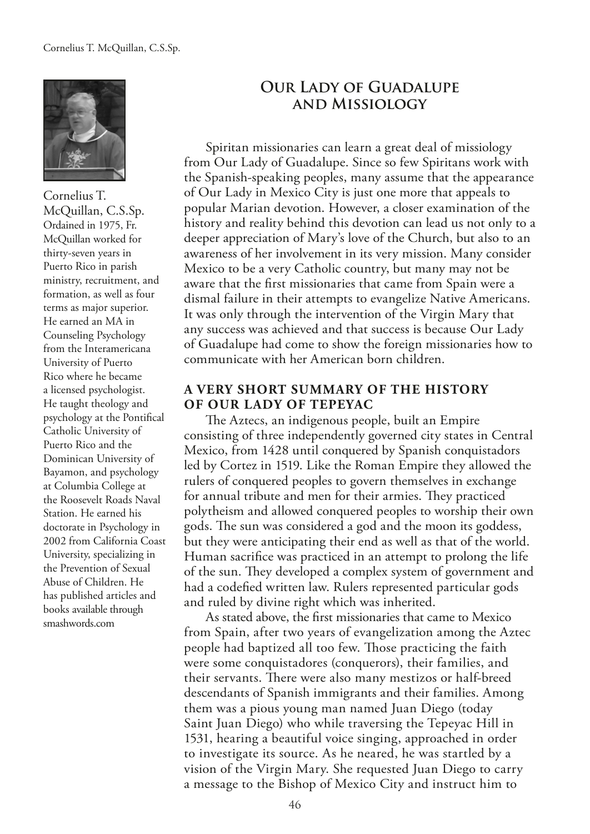

Cornelius T. McQuillan, C.S.Sp. Ordained in 1975, Fr. McQuillan worked for thirty-seven years in Puerto Rico in parish ministry, recruitment, and formation, as well as four terms as major superior. He earned an MA in Counseling Psychology from the Interamericana University of Puerto Rico where he became a licensed psychologist. He taught theology and psychology at the Pontifcal Catholic University of Puerto Rico and the Dominican University of Bayamon, and psychology at Columbia College at the Roosevelt Roads Naval Station. He earned his doctorate in Psychology in 2002 from California Coast University, specializing in the Prevention of Sexual Abuse of Children. He has published articles and books available through smashwords.com

## **Our Lady of Guadalupe and Missiology**

Spiritan missionaries can learn a great deal of missiology from Our Lady of Guadalupe. Since so few Spiritans work with the Spanish-speaking peoples, many assume that the appearance of Our Lady in Mexico City is just one more that appeals to popular Marian devotion. However, a closer examination of the history and reality behind this devotion can lead us not only to a deeper appreciation of Mary's love of the Church, but also to an awareness of her involvement in its very mission. Many consider Mexico to be a very Catholic country, but many may not be aware that the frst missionaries that came from Spain were a dismal failure in their attempts to evangelize Native Americans. It was only through the intervention of the Virgin Mary that any success was achieved and that success is because Our Lady of Guadalupe had come to show the foreign missionaries how to communicate with her American born children.

### **A VERY SHORT SUMMARY OF THE HISTORY OF OUR LADY OF TEPEYAC**

The Aztecs, an indigenous people, built an Empire consisting of three independently governed city states in Central Mexico, from 1428 until conquered by Spanish conquistadors led by Cortez in 1519. Like the Roman Empire they allowed the rulers of conquered peoples to govern themselves in exchange for annual tribute and men for their armies. They practiced polytheism and allowed conquered peoples to worship their own gods. The sun was considered a god and the moon its goddess, but they were anticipating their end as well as that of the world. Human sacrifce was practiced in an attempt to prolong the life of the sun. They developed a complex system of government and had a codefed written law. Rulers represented particular gods and ruled by divine right which was inherited.

As stated above, the frst missionaries that came to Mexico from Spain, after two years of evangelization among the Aztec people had baptized all too few. Those practicing the faith were some conquistadores (conquerors), their families, and their servants. There were also many mestizos or half-breed descendants of Spanish immigrants and their families. Among them was a pious young man named Juan Diego (today Saint Juan Diego) who while traversing the Tepeyac Hill in 1531, hearing a beautiful voice singing, approached in order to investigate its source. As he neared, he was startled by a vision of the Virgin Mary. She requested Juan Diego to carry a message to the Bishop of Mexico City and instruct him to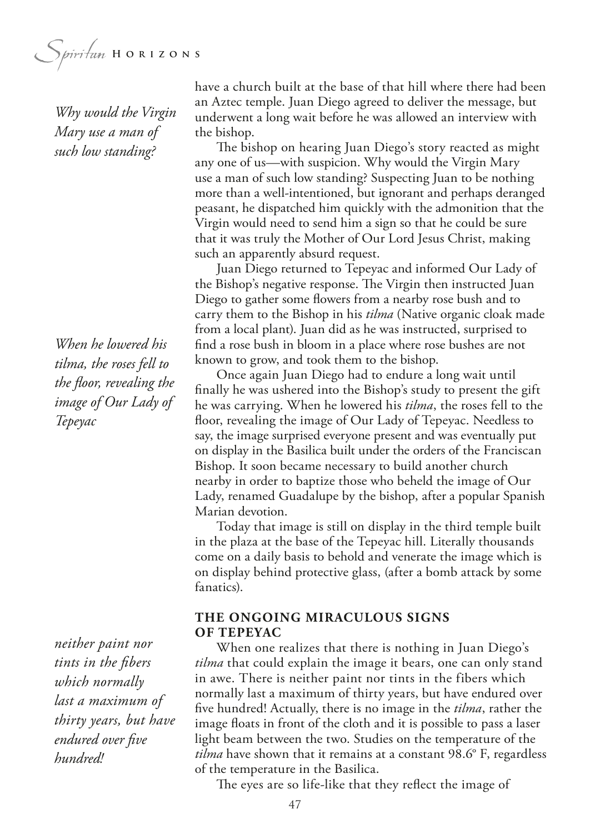Spiritan HORIZONS

*Why would the Virgin Mary use a man of such low standing?*

*When he lowered his tilma, the roses fell to the foor, revealing the image of Our Lady of Tepeyac*

*neither paint nor tints in the fbers which normally last a maximum of thirty years, but have endured over fve hundred!*

have a church built at the base of that hill where there had been an Aztec temple. Juan Diego agreed to deliver the message, but underwent a long wait before he was allowed an interview with the bishop.

The bishop on hearing Juan Diego's story reacted as might any one of us—with suspicion. Why would the Virgin Mary use a man of such low standing? Suspecting Juan to be nothing more than a well-intentioned, but ignorant and perhaps deranged peasant, he dispatched him quickly with the admonition that the Virgin would need to send him a sign so that he could be sure that it was truly the Mother of Our Lord Jesus Christ, making such an apparently absurd request.

Juan Diego returned to Tepeyac and informed Our Lady of the Bishop's negative response. The Virgin then instructed Juan Diego to gather some flowers from a nearby rose bush and to carry them to the Bishop in his *tilma* (Native organic cloak made from a local plant). Juan did as he was instructed, surprised to fnd a rose bush in bloom in a place where rose bushes are not known to grow, and took them to the bishop.

Once again Juan Diego had to endure a long wait until fnally he was ushered into the Bishop's study to present the gift he was carrying. When he lowered his *tilma*, the roses fell to the foor, revealing the image of Our Lady of Tepeyac. Needless to say, the image surprised everyone present and was eventually put on display in the Basilica built under the orders of the Franciscan Bishop. It soon became necessary to build another church nearby in order to baptize those who beheld the image of Our Lady, renamed Guadalupe by the bishop, after a popular Spanish Marian devotion.

Today that image is still on display in the third temple built in the plaza at the base of the Tepeyac hill. Literally thousands come on a daily basis to behold and venerate the image which is on display behind protective glass, (after a bomb attack by some fanatics).

### **THE ONGOING MIRACULOUS SIGNS OF TEPEYAC**

When one realizes that there is nothing in Juan Diego's *tilma* that could explain the image it bears, one can only stand in awe. There is neither paint nor tints in the fibers which normally last a maximum of thirty years, but have endured over fve hundred! Actually, there is no image in the *tilma*, rather the image floats in front of the cloth and it is possible to pass a laser light beam between the two. Studies on the temperature of the *tilma* have shown that it remains at a constant 98.6° F, regardless of the temperature in the Basilica.

The eyes are so life-like that they reflect the image of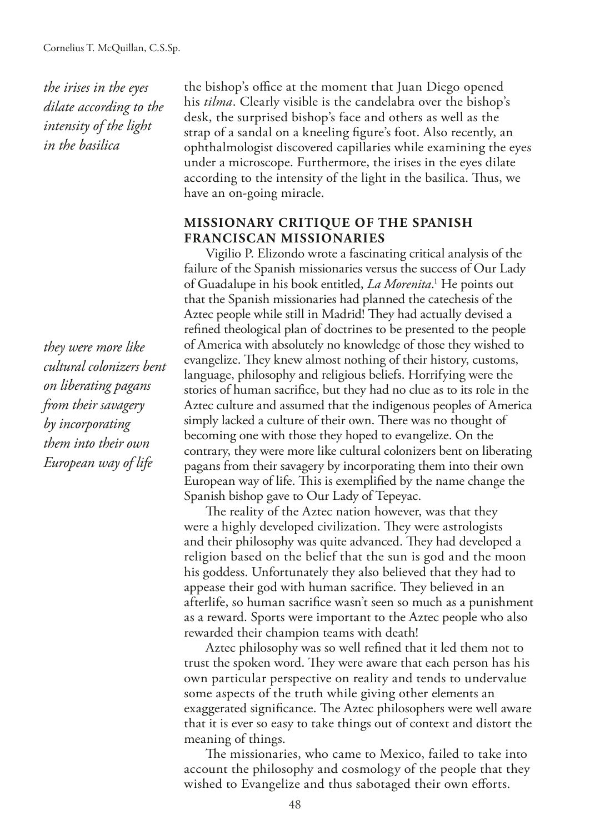*the irises in the eyes dilate according to the intensity of the light in the basilica*

*they were more like cultural colonizers bent on liberating pagans from their savagery by incorporating them into their own European way of life*

the bishop's office at the moment that Juan Diego opened his *tilma*. Clearly visible is the candelabra over the bishop's desk, the surprised bishop's face and others as well as the strap of a sandal on a kneeling fgure's foot. Also recently, an ophthalmologist discovered capillaries while examining the eyes under a microscope. Furthermore, the irises in the eyes dilate according to the intensity of the light in the basilica. Thus, we have an on-going miracle.

### **MISSIONARY CRITIQUE OF THE SPANISH FRANCISCAN MISSIONARIES**

Vigilio P. Elizondo wrote a fascinating critical analysis of the failure of the Spanish missionaries versus the success of Our Lady of Guadalupe in his book entitled, *La Morenita*.<sup>1</sup> He points out that the Spanish missionaries had planned the catechesis of the Aztec people while still in Madrid! They had actually devised a refned theological plan of doctrines to be presented to the people of America with absolutely no knowledge of those they wished to evangelize. They knew almost nothing of their history, customs, language, philosophy and religious beliefs. Horrifying were the stories of human sacrifce, but they had no clue as to its role in the Aztec culture and assumed that the indigenous peoples of America simply lacked a culture of their own. There was no thought of becoming one with those they hoped to evangelize. On the contrary, they were more like cultural colonizers bent on liberating pagans from their savagery by incorporating them into their own European way of life. This is exemplified by the name change the Spanish bishop gave to Our Lady of Tepeyac.

The reality of the Aztec nation however, was that they were a highly developed civilization. They were astrologists and their philosophy was quite advanced. They had developed a religion based on the belief that the sun is god and the moon his goddess. Unfortunately they also believed that they had to appease their god with human sacrifice. They believed in an afterlife, so human sacrifce wasn't seen so much as a punishment as a reward. Sports were important to the Aztec people who also rewarded their champion teams with death!

Aztec philosophy was so well refned that it led them not to trust the spoken word. They were aware that each person has his own particular perspective on reality and tends to undervalue some aspects of the truth while giving other elements an exaggerated significance. The Aztec philosophers were well aware that it is ever so easy to take things out of context and distort the meaning of things.

The missionaries, who came to Mexico, failed to take into account the philosophy and cosmology of the people that they wished to Evangelize and thus sabotaged their own efforts.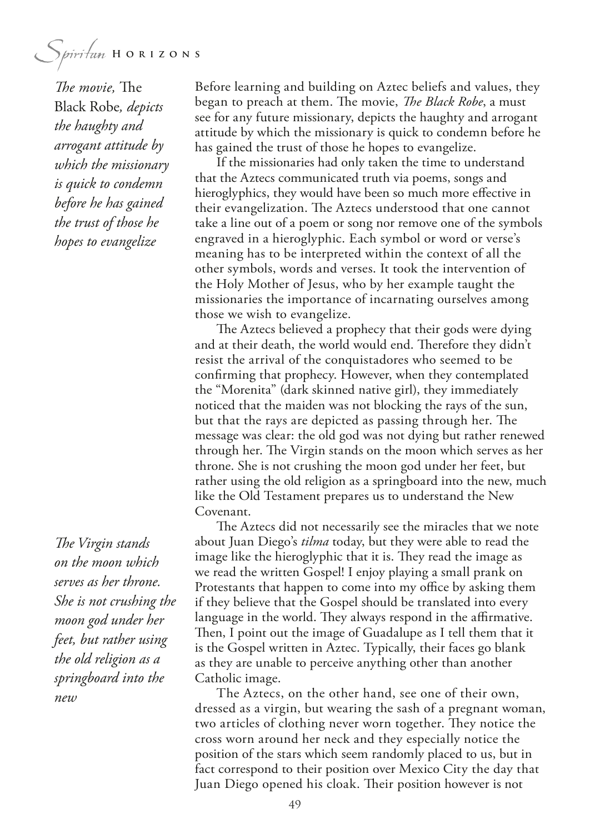*The movie*, The Black Robe*, depicts the haughty and arrogant attitude by which the missionary is quick to condemn before he has gained the trust of those he hopes to evangelize*

**The Virgin stands** *on the moon which serves as her throne. She is not crushing the moon god under her feet, but rather using the old religion as a springboard into the new*

Before learning and building on Aztec beliefs and values, they began to preach at them. The movie, *The Black Robe*, a must see for any future missionary, depicts the haughty and arrogant attitude by which the missionary is quick to condemn before he has gained the trust of those he hopes to evangelize.

If the missionaries had only taken the time to understand that the Aztecs communicated truth via poems, songs and hieroglyphics, they would have been so much more effective in their evangelization. The Aztecs understood that one cannot take a line out of a poem or song nor remove one of the symbols engraved in a hieroglyphic. Each symbol or word or verse's meaning has to be interpreted within the context of all the other symbols, words and verses. It took the intervention of the Holy Mother of Jesus, who by her example taught the missionaries the importance of incarnating ourselves among those we wish to evangelize.

The Aztecs believed a prophecy that their gods were dying and at their death, the world would end. Therefore they didn't resist the arrival of the conquistadores who seemed to be confrming that prophecy. However, when they contemplated the "Morenita" (dark skinned native girl), they immediately noticed that the maiden was not blocking the rays of the sun, but that the rays are depicted as passing through her. The message was clear: the old god was not dying but rather renewed through her. The Virgin stands on the moon which serves as her throne. She is not crushing the moon god under her feet, but rather using the old religion as a springboard into the new, much like the Old Testament prepares us to understand the New Covenant.

The Aztecs did not necessarily see the miracles that we note about Juan Diego's *tilma* today, but they were able to read the image like the hieroglyphic that it is. They read the image as we read the written Gospel! I enjoy playing a small prank on Protestants that happen to come into my office by asking them if they believe that the Gospel should be translated into every language in the world. They always respond in the affirmative. Then, I point out the image of Guadalupe as I tell them that it is the Gospel written in Aztec. Typically, their faces go blank as they are unable to perceive anything other than another Catholic image.

The Aztecs, on the other hand, see one of their own, dressed as a virgin, but wearing the sash of a pregnant woman, two articles of clothing never worn together. They notice the cross worn around her neck and they especially notice the position of the stars which seem randomly placed to us, but in fact correspond to their position over Mexico City the day that Juan Diego opened his cloak. Their position however is not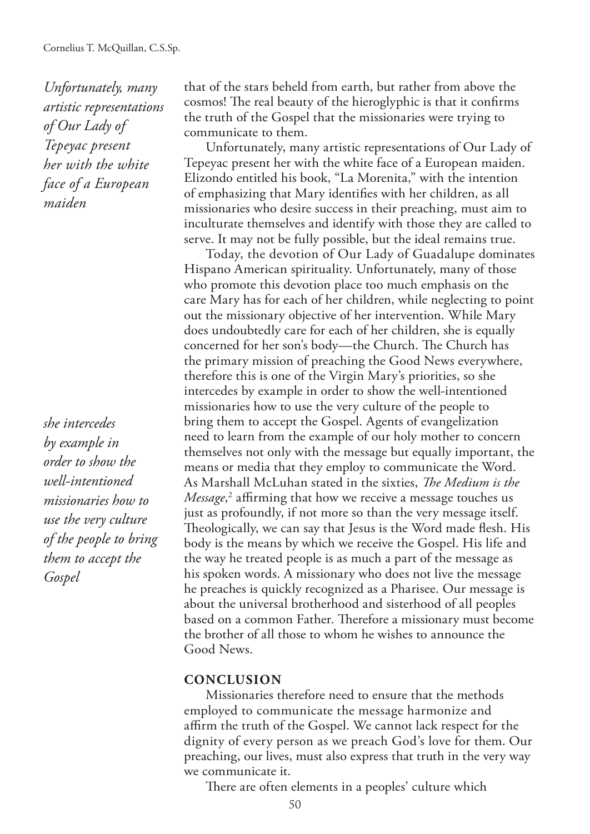*Unfortunately, many artistic representations of Our Lady of Tepeyac present her with the white face of a European maiden*

*she intercedes by example in order to show the well-intentioned missionaries how to use the very culture of the people to bring them to accept the Gospel*

that of the stars beheld from earth, but rather from above the cosmos! The real beauty of the hieroglyphic is that it confirms the truth of the Gospel that the missionaries were trying to communicate to them.

Unfortunately, many artistic representations of Our Lady of Tepeyac present her with the white face of a European maiden. Elizondo entitled his book, "La Morenita," with the intention of emphasizing that Mary identifes with her children, as all missionaries who desire success in their preaching, must aim to inculturate themselves and identify with those they are called to serve. It may not be fully possible, but the ideal remains true.

Today, the devotion of Our Lady of Guadalupe dominates Hispano American spirituality. Unfortunately, many of those who promote this devotion place too much emphasis on the care Mary has for each of her children, while neglecting to point out the missionary objective of her intervention. While Mary does undoubtedly care for each of her children, she is equally concerned for her son's body—the Church. The Church has the primary mission of preaching the Good News everywhere, therefore this is one of the Virgin Mary's priorities, so she intercedes by example in order to show the well-intentioned missionaries how to use the very culture of the people to bring them to accept the Gospel. Agents of evangelization need to learn from the example of our holy mother to concern themselves not only with the message but equally important, the means or media that they employ to communicate the Word. As Marshall McLuhan stated in the sixties, *The Medium is the Message*,<sup>2</sup> affirming that how we receive a message touches us just as profoundly, if not more so than the very message itself. Theologically, we can say that Jesus is the Word made flesh. His body is the means by which we receive the Gospel. His life and the way he treated people is as much a part of the message as his spoken words. A missionary who does not live the message he preaches is quickly recognized as a Pharisee. Our message is about the universal brotherhood and sisterhood of all peoples based on a common Father. Therefore a missionary must become the brother of all those to whom he wishes to announce the Good News.

#### **CONCLUSION**

Missionaries therefore need to ensure that the methods employed to communicate the message harmonize and afrm the truth of the Gospel. We cannot lack respect for the dignity of every person as we preach God's love for them. Our preaching, our lives, must also express that truth in the very way we communicate it.

There are often elements in a peoples' culture which